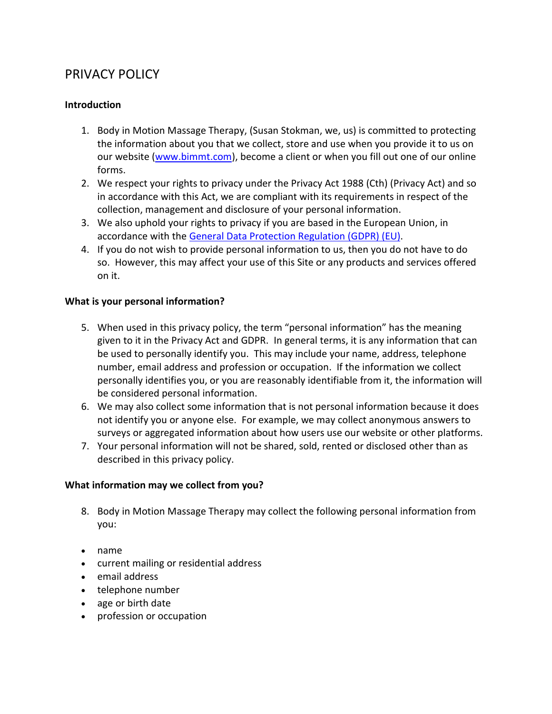# PRIVACY POLICY

# **Introduction**

- 1. Body in Motion Massage Therapy, (Susan Stokman, we, us) is committed to protecting the information about you that we collect, store and use when you provide it to us on our website [\(www.bimmt.com\)](http://www.bimmt.com/), become a client or when you fill out one of our online forms.
- 2. We respect your rights to privacy under the Privacy Act 1988 (Cth) (Privacy Act) and so in accordance with this Act, we are compliant with its requirements in respect of the collection, management and disclosure of your personal information.
- 3. We also uphold your rights to privacy if you are based in the European Union, in accordance with the [General Data Protection Regulation \(GDPR\) \(EU\).](https://www.eugdpr.org/gdpr-faqs.html)
- 4. If you do not wish to provide personal information to us, then you do not have to do so. However, this may affect your use of this Site or any products and services offered on it.

## **What is your personal information?**

- 5. When used in this privacy policy, the term "personal information" has the meaning given to it in the Privacy Act and GDPR. In general terms, it is any information that can be used to personally identify you. This may include your name, address, telephone number, email address and profession or occupation. If the information we collect personally identifies you, or you are reasonably identifiable from it, the information will be considered personal information.
- 6. We may also collect some information that is not personal information because it does not identify you or anyone else. For example, we may collect anonymous answers to surveys or aggregated information about how users use our website or other platforms.
- 7. Your personal information will not be shared, sold, rented or disclosed other than as described in this privacy policy.

# **What information may we collect from you?**

- 8. Body in Motion Massage Therapy may collect the following personal information from you:
- name
- current mailing or residential address
- email address
- telephone number
- age or birth date
- profession or occupation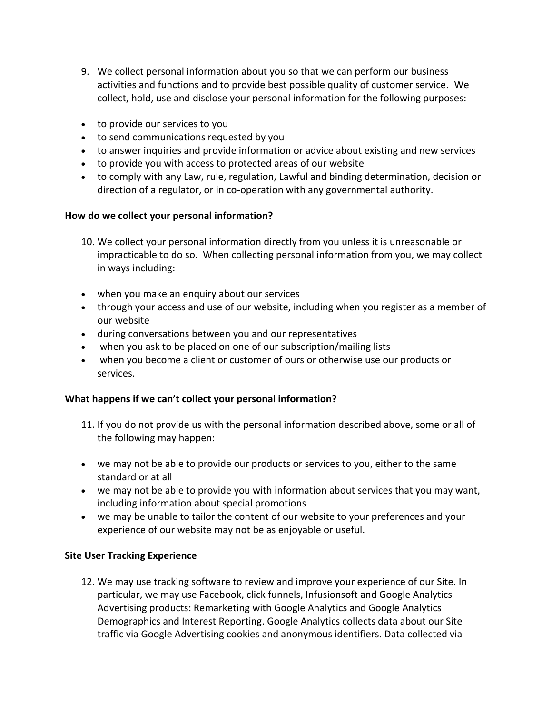- 9. We collect personal information about you so that we can perform our business activities and functions and to provide best possible quality of customer service. We collect, hold, use and disclose your personal information for the following purposes:
- to provide our services to you
- to send communications requested by you
- to answer inquiries and provide information or advice about existing and new services
- to provide you with access to protected areas of our website
- to comply with any Law, rule, regulation, Lawful and binding determination, decision or direction of a regulator, or in co-operation with any governmental authority.

# **How do we collect your personal information?**

- 10. We collect your personal information directly from you unless it is unreasonable or impracticable to do so. When collecting personal information from you, we may collect in ways including:
- when you make an enquiry about our services
- through your access and use of our website, including when you register as a member of our website
- during conversations between you and our representatives
- when you ask to be placed on one of our subscription/mailing lists
- when you become a client or customer of ours or otherwise use our products or services.

# **What happens if we can't collect your personal information?**

- 11. If you do not provide us with the personal information described above, some or all of the following may happen:
- we may not be able to provide our products or services to you, either to the same standard or at all
- we may not be able to provide you with information about services that you may want, including information about special promotions
- we may be unable to tailor the content of our website to your preferences and your experience of our website may not be as enjoyable or useful.

# **Site User Tracking Experience**

12. We may use tracking software to review and improve your experience of our Site. In particular, we may use Facebook, click funnels, Infusionsoft and Google Analytics Advertising products: Remarketing with Google Analytics and Google Analytics Demographics and Interest Reporting. Google Analytics collects data about our Site traffic via Google Advertising cookies and anonymous identifiers. Data collected via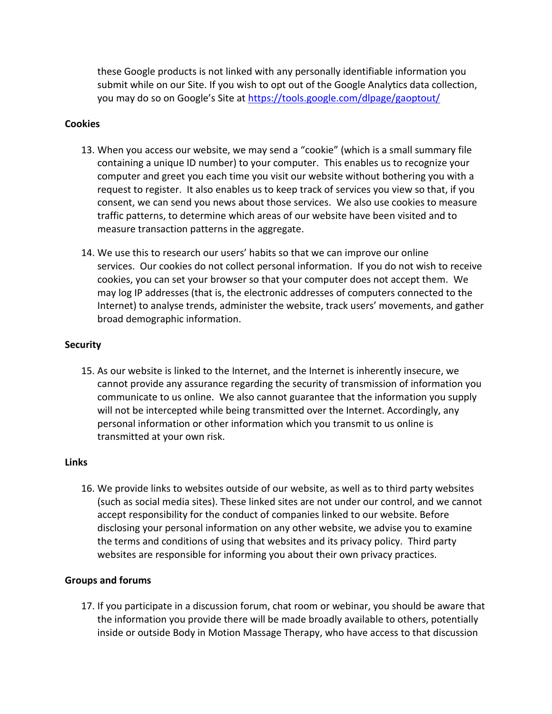these Google products is not linked with any personally identifiable information you submit while on our Site. If you wish to opt out of the Google Analytics data collection, you may do so on Google's Site at <https://tools.google.com/dlpage/gaoptout/>

#### **Cookies**

- 13. When you access our website, we may send a "cookie" (which is a small summary file containing a unique ID number) to your computer. This enables us to recognize your computer and greet you each time you visit our website without bothering you with a request to register. It also enables us to keep track of services you view so that, if you consent, we can send you news about those services. We also use cookies to measure traffic patterns, to determine which areas of our website have been visited and to measure transaction patterns in the aggregate.
- 14. We use this to research our users' habits so that we can improve our online services. Our cookies do not collect personal information. If you do not wish to receive cookies, you can set your browser so that your computer does not accept them. We may log IP addresses (that is, the electronic addresses of computers connected to the Internet) to analyse trends, administer the website, track users' movements, and gather broad demographic information.

## **Security**

15. As our website is linked to the Internet, and the Internet is inherently insecure, we cannot provide any assurance regarding the security of transmission of information you communicate to us online. We also cannot guarantee that the information you supply will not be intercepted while being transmitted over the Internet. Accordingly, any personal information or other information which you transmit to us online is transmitted at your own risk.

#### **Links**

16. We provide links to websites outside of our website, as well as to third party websites (such as social media sites). These linked sites are not under our control, and we cannot accept responsibility for the conduct of companies linked to our website. Before disclosing your personal information on any other website, we advise you to examine the terms and conditions of using that websites and its privacy policy. Third party websites are responsible for informing you about their own privacy practices.

#### **Groups and forums**

17. If you participate in a discussion forum, chat room or webinar, you should be aware that the information you provide there will be made broadly available to others, potentially inside or outside Body in Motion Massage Therapy, who have access to that discussion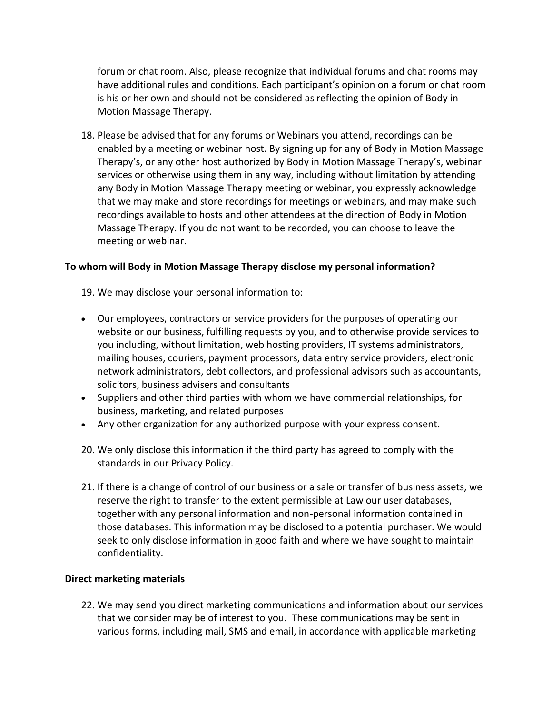forum or chat room. Also, please recognize that individual forums and chat rooms may have additional rules and conditions. Each participant's opinion on a forum or chat room is his or her own and should not be considered as reflecting the opinion of Body in Motion Massage Therapy.

18. Please be advised that for any forums or Webinars you attend, recordings can be enabled by a meeting or webinar host. By signing up for any of Body in Motion Massage Therapy's, or any other host authorized by Body in Motion Massage Therapy's, webinar services or otherwise using them in any way, including without limitation by attending any Body in Motion Massage Therapy meeting or webinar, you expressly acknowledge that we may make and store recordings for meetings or webinars, and may make such recordings available to hosts and other attendees at the direction of Body in Motion Massage Therapy. If you do not want to be recorded, you can choose to leave the meeting or webinar.

#### **To whom will Body in Motion Massage Therapy disclose my personal information?**

19. We may disclose your personal information to:

- Our employees, contractors or service providers for the purposes of operating our website or our business, fulfilling requests by you, and to otherwise provide services to you including, without limitation, web hosting providers, IT systems administrators, mailing houses, couriers, payment processors, data entry service providers, electronic network administrators, debt collectors, and professional advisors such as accountants, solicitors, business advisers and consultants
- Suppliers and other third parties with whom we have commercial relationships, for business, marketing, and related purposes
- Any other organization for any authorized purpose with your express consent.
- 20. We only disclose this information if the third party has agreed to comply with the standards in our Privacy Policy.
- 21. If there is a change of control of our business or a sale or transfer of business assets, we reserve the right to transfer to the extent permissible at Law our user databases, together with any personal information and non-personal information contained in those databases. This information may be disclosed to a potential purchaser. We would seek to only disclose information in good faith and where we have sought to maintain confidentiality.

#### **Direct marketing materials**

22. We may send you direct marketing communications and information about our services that we consider may be of interest to you. These communications may be sent in various forms, including mail, SMS and email, in accordance with applicable marketing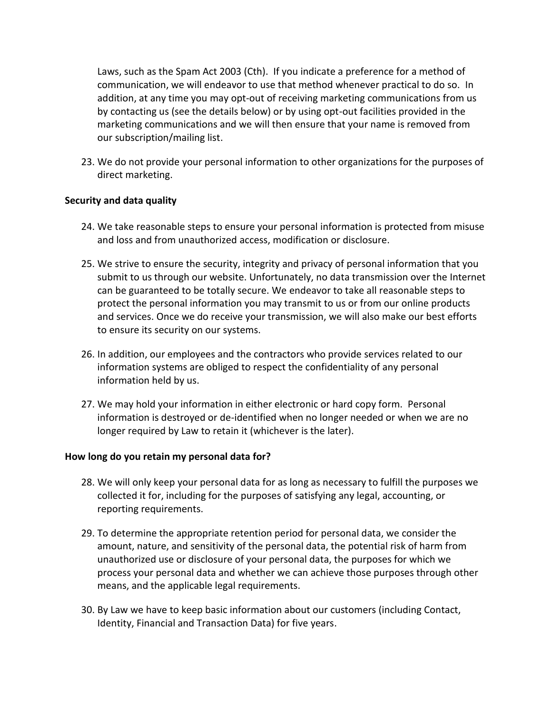Laws, such as the Spam Act 2003 (Cth). If you indicate a preference for a method of communication, we will endeavor to use that method whenever practical to do so. In addition, at any time you may opt-out of receiving marketing communications from us by contacting us (see the details below) or by using opt-out facilities provided in the marketing communications and we will then ensure that your name is removed from our subscription/mailing list.

23. We do not provide your personal information to other organizations for the purposes of direct marketing.

#### **Security and data quality**

- 24. We take reasonable steps to ensure your personal information is protected from misuse and loss and from unauthorized access, modification or disclosure.
- 25. We strive to ensure the security, integrity and privacy of personal information that you submit to us through our website. Unfortunately, no data transmission over the Internet can be guaranteed to be totally secure. We endeavor to take all reasonable steps to protect the personal information you may transmit to us or from our online products and services. Once we do receive your transmission, we will also make our best efforts to ensure its security on our systems.
- 26. In addition, our employees and the contractors who provide services related to our information systems are obliged to respect the confidentiality of any personal information held by us.
- 27. We may hold your information in either electronic or hard copy form. Personal information is destroyed or de-identified when no longer needed or when we are no longer required by Law to retain it (whichever is the later).

#### **How long do you retain my personal data for?**

- 28. We will only keep your personal data for as long as necessary to fulfill the purposes we collected it for, including for the purposes of satisfying any legal, accounting, or reporting requirements.
- 29. To determine the appropriate retention period for personal data, we consider the amount, nature, and sensitivity of the personal data, the potential risk of harm from unauthorized use or disclosure of your personal data, the purposes for which we process your personal data and whether we can achieve those purposes through other means, and the applicable legal requirements.
- 30. By Law we have to keep basic information about our customers (including Contact, Identity, Financial and Transaction Data) for five years.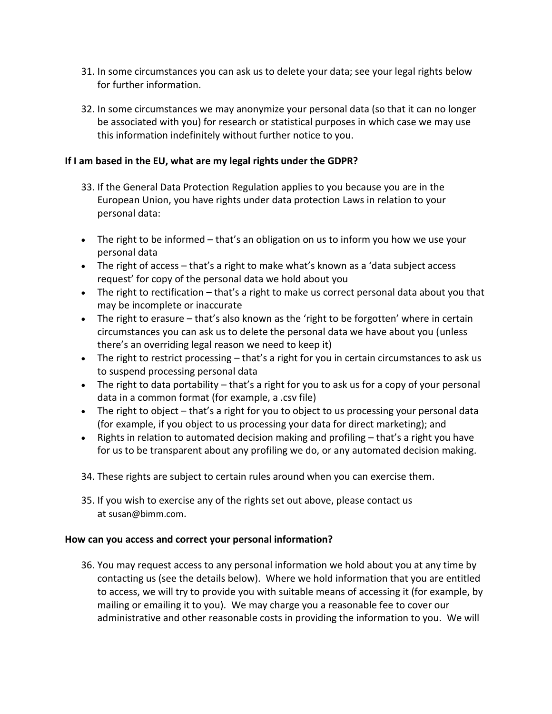- 31. In some circumstances you can ask us to delete your data; see your legal rights below for further information.
- 32. In some circumstances we may anonymize your personal data (so that it can no longer be associated with you) for research or statistical purposes in which case we may use this information indefinitely without further notice to you.

# **If I am based in the EU, what are my legal rights under the GDPR?**

- 33. If the General Data Protection Regulation applies to you because you are in the European Union, you have rights under data protection Laws in relation to your personal data:
- The right to be informed that's an obligation on us to inform you how we use your personal data
- The right of access that's a right to make what's known as a 'data subject access request' for copy of the personal data we hold about you
- The right to rectification that's a right to make us correct personal data about you that may be incomplete or inaccurate
- The right to erasure that's also known as the 'right to be forgotten' where in certain circumstances you can ask us to delete the personal data we have about you (unless there's an overriding legal reason we need to keep it)
- The right to restrict processing that's a right for you in certain circumstances to ask us to suspend processing personal data
- $\bullet$  The right to data portability that's a right for you to ask us for a copy of your personal data in a common format (for example, a .csv file)
- The right to object that's a right for you to object to us processing your personal data (for example, if you object to us processing your data for direct marketing); and
- Rights in relation to automated decision making and profiling that's a right you have for us to be transparent about any profiling we do, or any automated decision making.
- 34. These rights are subject to certain rules around when you can exercise them.
- 35. If you wish to exercise any of the rights set out above, please contact us at susan@bimm.com.

# **How can you access and correct your personal information?**

36. You may request access to any personal information we hold about you at any time by contacting us (see the details below). Where we hold information that you are entitled to access, we will try to provide you with suitable means of accessing it (for example, by mailing or emailing it to you). We may charge you a reasonable fee to cover our administrative and other reasonable costs in providing the information to you. We will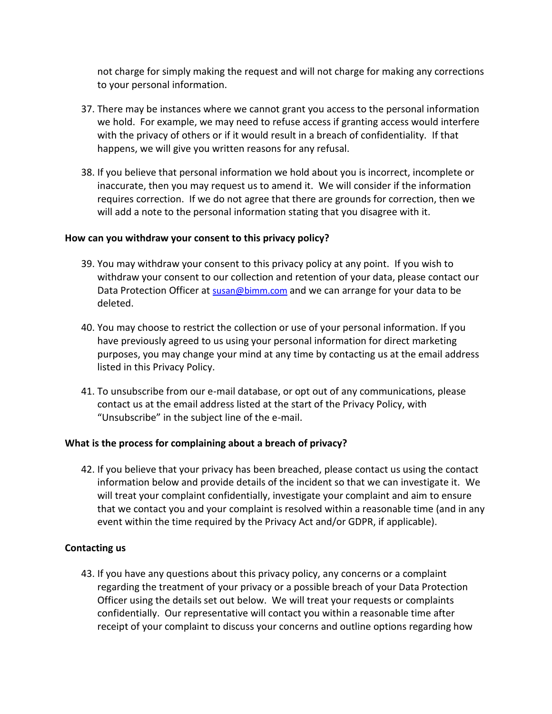not charge for simply making the request and will not charge for making any corrections to your personal information.

- 37. There may be instances where we cannot grant you access to the personal information we hold. For example, we may need to refuse access if granting access would interfere with the privacy of others or if it would result in a breach of confidentiality. If that happens, we will give you written reasons for any refusal.
- 38. If you believe that personal information we hold about you is incorrect, incomplete or inaccurate, then you may request us to amend it. We will consider if the information requires correction. If we do not agree that there are grounds for correction, then we will add a note to the personal information stating that you disagree with it.

## **How can you withdraw your consent to this privacy policy?**

- 39. You may withdraw your consent to this privacy policy at any point. If you wish to withdraw your consent to our collection and retention of your data, please contact our Data Protection Officer at [susan@bimm.com](mailto:susan@bimm.com) and we can arrange for your data to be deleted.
- 40. You may choose to restrict the collection or use of your personal information. If you have previously agreed to us using your personal information for direct marketing purposes, you may change your mind at any time by contacting us at the email address listed in this Privacy Policy.
- 41. To unsubscribe from our e-mail database, or opt out of any communications, please contact us at the email address listed at the start of the Privacy Policy, with "Unsubscribe" in the subject line of the e-mail.

# **What is the process for complaining about a breach of privacy?**

42. If you believe that your privacy has been breached, please contact us using the contact information below and provide details of the incident so that we can investigate it. We will treat your complaint confidentially, investigate your complaint and aim to ensure that we contact you and your complaint is resolved within a reasonable time (and in any event within the time required by the Privacy Act and/or GDPR, if applicable).

# **Contacting us**

43. If you have any questions about this privacy policy, any concerns or a complaint regarding the treatment of your privacy or a possible breach of your Data Protection Officer using the details set out below. We will treat your requests or complaints confidentially. Our representative will contact you within a reasonable time after receipt of your complaint to discuss your concerns and outline options regarding how